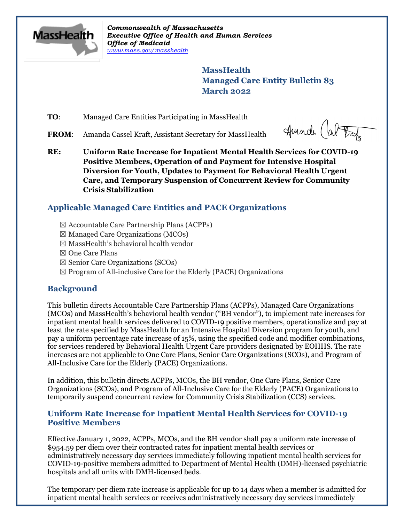

*Commonwealth of Massachusetts Executive Office of Health and Human Services Office of Medicaid [www.mass.gov/masshealth](http://www.mass.gov/masshealth)*

> **MassHealth Managed Care Entity Bulletin 83 March 2022**

**TO:** Managed Care Entities Participating in MassHealth

FROM: Amanda Cassel Kraft, Assistant Secretary for MassHealth

Huade (about

**RE: Uniform Rate Increase for Inpatient Mental Health Services for COVID-19 Positive Members, Operation of and Payment for Intensive Hospital Diversion for Youth, Updates to Payment for Behavioral Health Urgent Care, and Temporary Suspension of Concurrent Review for Community Crisis Stabilization**

#### **Applicable Managed Care Entities and PACE Organizations**

- ☒ Accountable Care Partnership Plans (ACPPs)
- $\boxtimes$  Managed Care Organizations (MCOs)
- $\boxtimes$  MassHealth's behavioral health vendor
- ☒ One Care Plans
- ☒ Senior Care Organizations (SCOs)
- $\boxtimes$  Program of All-inclusive Care for the Elderly (PACE) Organizations

#### **Background**

This bulletin directs Accountable Care Partnership Plans (ACPPs), Managed Care Organizations (MCOs) and MassHealth's behavioral health vendor ("BH vendor"), to implement rate increases for inpatient mental health services delivered to COVID-19 positive members, operationalize and pay at least the rate specified by MassHealth for an Intensive Hospital Diversion program for youth, and pay a uniform percentage rate increase of 15%, using the specified code and modifier combinations, for services rendered by Behavioral Health Urgent Care providers designated by EOHHS. The rate increases are not applicable to One Care Plans, Senior Care Organizations (SCOs), and Program of All-Inclusive Care for the Elderly (PACE) Organizations.

In addition, this bulletin directs ACPPs, MCOs, the BH vendor, One Care Plans, Senior Care Organizations (SCOs), and Program of All-Inclusive Care for the Elderly (PACE) Organizations to temporarily suspend concurrent review for Community Crisis Stabilization (CCS) services.

#### **Uniform Rate Increase for Inpatient Mental Health Services for COVID-19 Positive Members**

Effective January 1, 2022, ACPPs, MCOs, and the BH vendor shall pay a uniform rate increase of \$954.59 per diem over their contracted rates for inpatient mental health services or administratively necessary day services immediately following inpatient mental health services for COVID-19-positive members admitted to Department of Mental Health (DMH)-licensed psychiatric hospitals and all units with DMH-licensed beds.

The temporary per diem rate increase is applicable for up to 14 days when a member is admitted for inpatient mental health services or receives administratively necessary day services immediately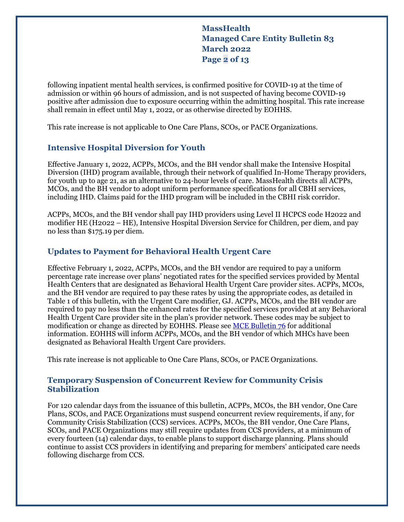**MassHealth Managed Care Entity Bulletin 83 March 2022 Page 2 of 13**

following inpatient mental health services, is confirmed positive for COVID-19 at the time of admission or within 96 hours of admission, and is not suspected of having become COVID-19 positive after admission due to exposure occurring within the admitting hospital. This rate increase shall remain in effect until May 1, 2022, or as otherwise directed by EOHHS.

This rate increase is not applicable to One Care Plans, SCOs, or PACE Organizations.

#### **Intensive Hospital Diversion for Youth**

Effective January 1, 2022, ACPPs, MCOs, and the BH vendor shall make the Intensive Hospital Diversion (IHD) program available, through their network of qualified In-Home Therapy providers, for youth up to age 21, as an alternative to 24-hour levels of care. MassHealth directs all ACPPs, MCOs, and the BH vendor to adopt uniform performance specifications for all CBHI services, including IHD. Claims paid for the IHD program will be included in the CBHI risk corridor.

ACPPs, MCOs, and the BH vendor shall pay IHD providers using Level II HCPCS code H2022 and modifier HE (H2022 – HE), Intensive Hospital Diversion Service for Children, per diem, and pay no less than \$175.19 per diem.

#### **Updates to Payment for Behavioral Health Urgent Care**

Effective February 1, 2022, ACPPs, MCOs, and the BH vendor are required to pay a uniform percentage rate increase over plans' negotiated rates for the specified services provided by Mental Health Centers that are designated as Behavioral Health Urgent Care provider sites. ACPPs, MCOs, and the BH vendor are required to pay these rates by using the appropriate codes, as detailed in Table 1 of this bulletin, with the Urgent Care modifier, GJ. ACPPs, MCOs, and the BH vendor are required to pay no less than the enhanced rates for the specified services provided at any Behavioral Health Urgent Care provider site in the plan's provider network. These codes may be subject to modification or change as directed by EOHHS. Please see [MCE Bulletin 76](https://www.mass.gov/doc/managed-care-entity-bulletin-76-behavioral-health-urgent-care-providers/download) for additional information. EOHHS will inform ACPPs, MCOs, and the BH vendor of which MHCs have been designated as Behavioral Health Urgent Care providers.

This rate increase is not applicable to One Care Plans, SCOs, or PACE Organizations.

#### **Temporary Suspension of Concurrent Review for Community Crisis Stabilization**

For 120 calendar days from the issuance of this bulletin, ACPPs, MCOs, the BH vendor, One Care Plans, SCOs, and PACE Organizations must suspend concurrent review requirements, if any, for Community Crisis Stabilization (CCS) services. ACPPs, MCOs, the BH vendor, One Care Plans, SCOs, and PACE Organizations may still require updates from CCS providers, at a minimum of every fourteen (14) calendar days, to enable plans to support discharge planning. Plans should continue to assist CCS providers in identifying and preparing for members' anticipated care needs following discharge from CCS.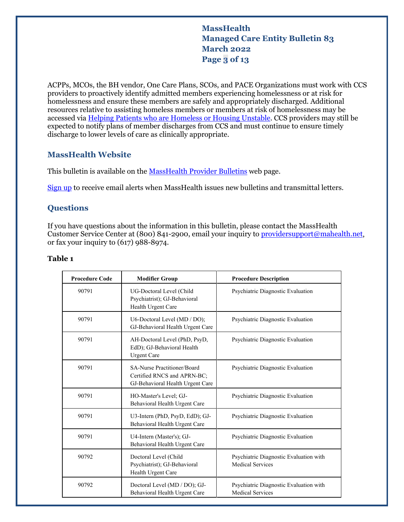#### **MassHealth Managed Care Entity Bulletin 83 March 2022 Page 3 of 13**

ACPPs, MCOs, the BH vendor, One Care Plans, SCOs, and PACE Organizations must work with CCS providers to proactively identify admitted members experiencing homelessness or at risk for homelessness and ensure these members are safely and appropriately discharged. Additional resources relative to assisting homeless members or members at risk of homelessness may be accessed via [Helping Patients who are Homeless or Housing Unstable.](https://www.mass.gov/info-details/helping-patients-who-are-homeless-or-housing-unstable) CCS providers may still be expected to notify plans of member discharges from CCS and must continue to ensure timely discharge to lower levels of care as clinically appropriate.

#### **MassHealth Website**

This bulletin is available on th[e MassHealth Provider Bulletins](http://www.mass.gov/masshealth-provider-bulletins) web page.

[Sign up](https://www.mass.gov/forms/email-notifications-for-masshealth-provider-bulletins-and-transmittal-letters) to receive email alerts when MassHealth issues new bulletins and transmittal letters.

#### **Questions**

If you have questions about the information in this bulletin, please contact the MassHealth Customer Service Center at (800) 841-2900, email your inquiry t[o providersupport@mahealth.net,](mailto:providersupport@mahealth.net) or fax your inquiry to (617) 988-8974.

#### **Table 1**

| <b>Procedure Code</b> | <b>Modifier Group</b>                                                                          | <b>Procedure Description</b>                                      |
|-----------------------|------------------------------------------------------------------------------------------------|-------------------------------------------------------------------|
| 90791                 | UG-Doctoral Level (Child<br>Psychiatrist); GJ-Behavioral<br>Health Urgent Care                 | Psychiatric Diagnostic Evaluation                                 |
| 90791                 | U6-Doctoral Level (MD / DO);<br>GJ-Behavioral Health Urgent Care                               | Psychiatric Diagnostic Evaluation                                 |
| 90791                 | AH-Doctoral Level (PhD, PsyD,<br>EdD); GJ-Behavioral Health<br><b>Urgent Care</b>              | Psychiatric Diagnostic Evaluation                                 |
| 90791                 | SA-Nurse Practitioner/Board<br>Certified RNCS and APRN-BC;<br>GJ-Behavioral Health Urgent Care | Psychiatric Diagnostic Evaluation                                 |
| 90791                 | HO-Master's Level; GJ-<br>Behavioral Health Urgent Care                                        | Psychiatric Diagnostic Evaluation                                 |
| 90791                 | U3-Intern (PhD, PsyD, EdD); GJ-<br>Behavioral Health Urgent Care                               | Psychiatric Diagnostic Evaluation                                 |
| 90791                 | U4-Intern (Master's); GJ-<br>Behavioral Health Urgent Care                                     | Psychiatric Diagnostic Evaluation                                 |
| 90792                 | Doctoral Level (Child<br>Psychiatrist); GJ-Behavioral<br>Health Urgent Care                    | Psychiatric Diagnostic Evaluation with<br><b>Medical Services</b> |
| 90792                 | Doctoral Level (MD / DO); GJ-<br>Behavioral Health Urgent Care                                 | Psychiatric Diagnostic Evaluation with<br><b>Medical Services</b> |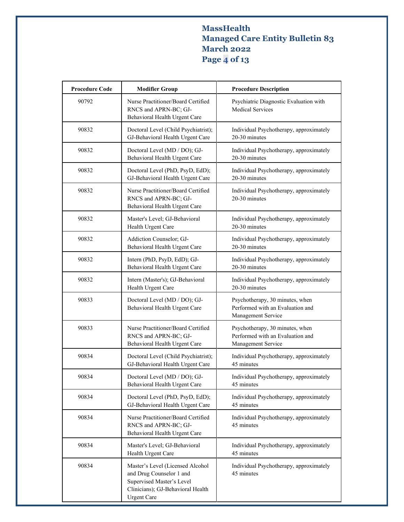# **MassHealth Managed Care Entity Bulletin 83 March 2022 Page 4 of 13**

| <b>Procedure Code</b> | <b>Modifier Group</b>                                                                                                                                | <b>Procedure Description</b>                                                              |
|-----------------------|------------------------------------------------------------------------------------------------------------------------------------------------------|-------------------------------------------------------------------------------------------|
| 90792                 | Nurse Practitioner/Board Certified<br>RNCS and APRN-BC; GJ-<br>Behavioral Health Urgent Care                                                         | Psychiatric Diagnostic Evaluation with<br><b>Medical Services</b>                         |
| 90832                 | Doctoral Level (Child Psychiatrist);<br>GJ-Behavioral Health Urgent Care                                                                             | Individual Psychotherapy, approximately<br>20-30 minutes                                  |
| 90832                 | Doctoral Level (MD / DO); GJ-<br>Behavioral Health Urgent Care                                                                                       | Individual Psychotherapy, approximately<br>20-30 minutes                                  |
| 90832                 | Doctoral Level (PhD, PsyD, EdD);<br>GJ-Behavioral Health Urgent Care                                                                                 | Individual Psychotherapy, approximately<br>20-30 minutes                                  |
| 90832                 | Nurse Practitioner/Board Certified<br>RNCS and APRN-BC; GJ-<br>Behavioral Health Urgent Care                                                         | Individual Psychotherapy, approximately<br>20-30 minutes                                  |
| 90832                 | Master's Level; GJ-Behavioral<br>Health Urgent Care                                                                                                  | Individual Psychotherapy, approximately<br>20-30 minutes                                  |
| 90832                 | Addiction Counselor; GJ-<br>Behavioral Health Urgent Care                                                                                            | Individual Psychotherapy, approximately<br>20-30 minutes                                  |
| 90832                 | Intern (PhD, PsyD, EdD); GJ-<br>Behavioral Health Urgent Care                                                                                        | Individual Psychotherapy, approximately<br>20-30 minutes                                  |
| 90832                 | Intern (Master's); GJ-Behavioral<br>Health Urgent Care                                                                                               | Individual Psychotherapy, approximately<br>20-30 minutes                                  |
| 90833                 | Doctoral Level (MD / DO); GJ-<br>Behavioral Health Urgent Care                                                                                       | Psychotherapy, 30 minutes, when<br>Performed with an Evaluation and<br>Management Service |
| 90833                 | Nurse Practitioner/Board Certified<br>RNCS and APRN-BC; GJ-<br>Behavioral Health Urgent Care                                                         | Psychotherapy, 30 minutes, when<br>Performed with an Evaluation and<br>Management Service |
| 90834                 | Doctoral Level (Child Psychiatrist);<br>GJ-Behavioral Health Urgent Care                                                                             | Individual Psychotherapy, approximately<br>45 minutes                                     |
| 90834                 | Doctoral Level (MD / DO); GJ-<br>Behavioral Health Urgent Care                                                                                       | Individual Psychotherapy, approximately<br>45 minutes                                     |
| 90834                 | Doctoral Level (PhD, PsyD, EdD);<br>GJ-Behavioral Health Urgent Care                                                                                 | Individual Psychotherapy, approximately<br>45 minutes                                     |
| 90834                 | Nurse Practitioner/Board Certified<br>RNCS and APRN-BC; GJ-<br>Behavioral Health Urgent Care                                                         | Individual Psychotherapy, approximately<br>45 minutes                                     |
| 90834                 | Master's Level; GJ-Behavioral<br>Health Urgent Care                                                                                                  | Individual Psychotherapy, approximately<br>45 minutes                                     |
| 90834                 | Master's Level (Licensed Alcohol<br>and Drug Counselor 1 and<br>Supervised Master's Level<br>Clinicians); GJ-Behavioral Health<br><b>Urgent Care</b> | Individual Psychotherapy, approximately<br>45 minutes                                     |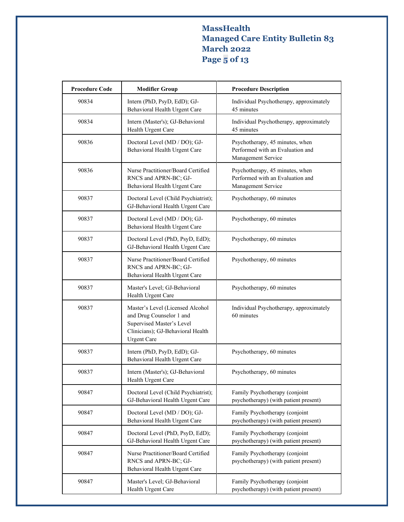# **MassHealth Managed Care Entity Bulletin 83 March 2022 Page 5 of 13**

| <b>Procedure Code</b> | <b>Modifier Group</b>                                                                                                                                | <b>Procedure Description</b>                                                              |
|-----------------------|------------------------------------------------------------------------------------------------------------------------------------------------------|-------------------------------------------------------------------------------------------|
| 90834                 | Intern (PhD, PsyD, EdD); GJ-<br>Behavioral Health Urgent Care                                                                                        | Individual Psychotherapy, approximately<br>45 minutes                                     |
| 90834                 | Intern (Master's); GJ-Behavioral<br>Health Urgent Care                                                                                               | Individual Psychotherapy, approximately<br>45 minutes                                     |
| 90836                 | Doctoral Level (MD / DO); GJ-<br>Behavioral Health Urgent Care                                                                                       | Psychotherapy, 45 minutes, when<br>Performed with an Evaluation and<br>Management Service |
| 90836                 | Nurse Practitioner/Board Certified<br>RNCS and APRN-BC; GJ-<br>Behavioral Health Urgent Care                                                         | Psychotherapy, 45 minutes, when<br>Performed with an Evaluation and<br>Management Service |
| 90837                 | Doctoral Level (Child Psychiatrist);<br>GJ-Behavioral Health Urgent Care                                                                             | Psychotherapy, 60 minutes                                                                 |
| 90837                 | Doctoral Level (MD / DO); GJ-<br>Behavioral Health Urgent Care                                                                                       | Psychotherapy, 60 minutes                                                                 |
| 90837                 | Doctoral Level (PhD, PsyD, EdD);<br>GJ-Behavioral Health Urgent Care                                                                                 | Psychotherapy, 60 minutes                                                                 |
| 90837                 | Nurse Practitioner/Board Certified<br>RNCS and APRN-BC; GJ-<br>Behavioral Health Urgent Care                                                         | Psychotherapy, 60 minutes                                                                 |
| 90837                 | Master's Level; GJ-Behavioral<br>Health Urgent Care                                                                                                  | Psychotherapy, 60 minutes                                                                 |
| 90837                 | Master's Level (Licensed Alcohol<br>and Drug Counselor 1 and<br>Supervised Master's Level<br>Clinicians); GJ-Behavioral Health<br><b>Urgent Care</b> | Individual Psychotherapy, approximately<br>60 minutes                                     |
| 90837                 | Intern (PhD, PsyD, EdD); GJ-<br>Behavioral Health Urgent Care                                                                                        | Psychotherapy, 60 minutes                                                                 |
| 90837                 | Intern (Master's); GJ-Behavioral<br>Health Urgent Care                                                                                               | Psychotherapy, 60 minutes                                                                 |
| 90847                 | Doctoral Level (Child Psychiatrist);<br>GJ-Behavioral Health Urgent Care                                                                             | Family Psychotherapy (conjoint<br>psychotherapy) (with patient present)                   |
| 90847                 | Doctoral Level (MD / DO); GJ-<br>Behavioral Health Urgent Care                                                                                       | Family Psychotherapy (conjoint<br>psychotherapy) (with patient present)                   |
| 90847                 | Doctoral Level (PhD, PsyD, EdD);<br>GJ-Behavioral Health Urgent Care                                                                                 | Family Psychotherapy (conjoint<br>psychotherapy) (with patient present)                   |
| 90847                 | Nurse Practitioner/Board Certified<br>RNCS and APRN-BC; GJ-<br>Behavioral Health Urgent Care                                                         | Family Psychotherapy (conjoint<br>psychotherapy) (with patient present)                   |
| 90847                 | Master's Level; GJ-Behavioral<br>Health Urgent Care                                                                                                  | Family Psychotherapy (conjoint<br>psychotherapy) (with patient present)                   |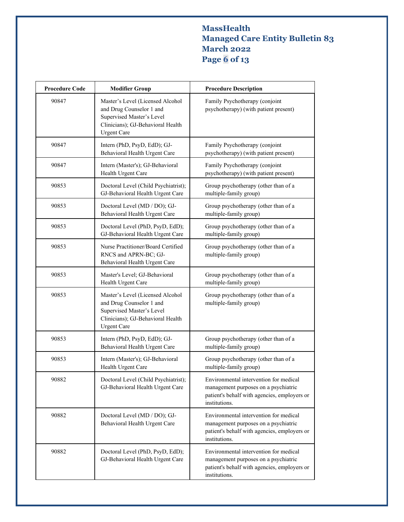# **MassHealth Managed Care Entity Bulletin 83 March 2022 Page 6 of 13**

| <b>Procedure Code</b> | <b>Modifier Group</b>                                                                                                                                | <b>Procedure Description</b>                                                                                                                    |
|-----------------------|------------------------------------------------------------------------------------------------------------------------------------------------------|-------------------------------------------------------------------------------------------------------------------------------------------------|
| 90847                 | Master's Level (Licensed Alcohol<br>and Drug Counselor 1 and<br>Supervised Master's Level<br>Clinicians); GJ-Behavioral Health<br><b>Urgent Care</b> | Family Psychotherapy (conjoint<br>psychotherapy) (with patient present)                                                                         |
| 90847                 | Intern (PhD, PsyD, EdD); GJ-<br>Behavioral Health Urgent Care                                                                                        | Family Psychotherapy (conjoint<br>psychotherapy) (with patient present)                                                                         |
| 90847                 | Intern (Master's); GJ-Behavioral<br>Health Urgent Care                                                                                               | Family Psychotherapy (conjoint<br>psychotherapy) (with patient present)                                                                         |
| 90853                 | Doctoral Level (Child Psychiatrist);<br>GJ-Behavioral Health Urgent Care                                                                             | Group psychotherapy (other than of a<br>multiple-family group)                                                                                  |
| 90853                 | Doctoral Level (MD / DO); GJ-<br>Behavioral Health Urgent Care                                                                                       | Group psychotherapy (other than of a<br>multiple-family group)                                                                                  |
| 90853                 | Doctoral Level (PhD, PsyD, EdD);<br>GJ-Behavioral Health Urgent Care                                                                                 | Group psychotherapy (other than of a<br>multiple-family group)                                                                                  |
| 90853                 | Nurse Practitioner/Board Certified<br>RNCS and APRN-BC; GJ-<br>Behavioral Health Urgent Care                                                         | Group psychotherapy (other than of a<br>multiple-family group)                                                                                  |
| 90853                 | Master's Level; GJ-Behavioral<br>Health Urgent Care                                                                                                  | Group psychotherapy (other than of a<br>multiple-family group)                                                                                  |
| 90853                 | Master's Level (Licensed Alcohol<br>and Drug Counselor 1 and<br>Supervised Master's Level<br>Clinicians); GJ-Behavioral Health<br><b>Urgent Care</b> | Group psychotherapy (other than of a<br>multiple-family group)                                                                                  |
| 90853                 | Intern (PhD, PsyD, EdD); GJ-<br>Behavioral Health Urgent Care                                                                                        | Group psychotherapy (other than of a<br>multiple-family group)                                                                                  |
| 90853                 | Intern (Master's); GJ-Behavioral<br>Health Urgent Care                                                                                               | Group psychotherapy (other than of a<br>multiple-family group)                                                                                  |
| 90882                 | Doctoral Level (Child Psychiatrist);<br>GJ-Behavioral Health Urgent Care                                                                             | Environmental intervention for medical<br>management purposes on a psychiatric<br>patient's behalf with agencies, employers or<br>institutions. |
| 90882                 | Doctoral Level (MD / DO); GJ-<br>Behavioral Health Urgent Care                                                                                       | Environmental intervention for medical<br>management purposes on a psychiatric<br>patient's behalf with agencies, employers or<br>institutions. |
| 90882                 | Doctoral Level (PhD, PsyD, EdD);<br>GJ-Behavioral Health Urgent Care                                                                                 | Environmental intervention for medical<br>management purposes on a psychiatric<br>patient's behalf with agencies, employers or<br>institutions. |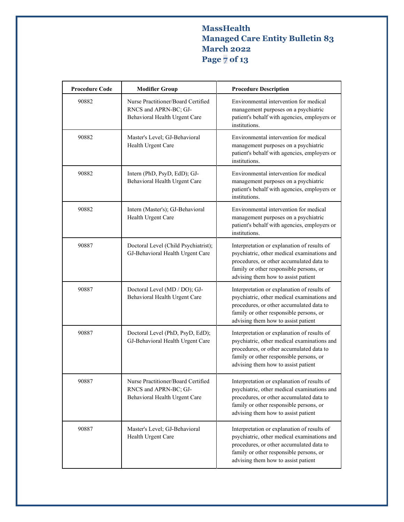# **MassHealth Managed Care Entity Bulletin 83 March 2022 Page 7 of 13**

| <b>Procedure Code</b> | <b>Modifier Group</b>                                                                        | <b>Procedure Description</b>                                                                                                                                                                                             |
|-----------------------|----------------------------------------------------------------------------------------------|--------------------------------------------------------------------------------------------------------------------------------------------------------------------------------------------------------------------------|
| 90882                 | Nurse Practitioner/Board Certified<br>RNCS and APRN-BC; GJ-<br>Behavioral Health Urgent Care | Environmental intervention for medical<br>management purposes on a psychiatric<br>patient's behalf with agencies, employers or<br>institutions.                                                                          |
| 90882                 | Master's Level; GJ-Behavioral<br>Health Urgent Care                                          | Environmental intervention for medical<br>management purposes on a psychiatric<br>patient's behalf with agencies, employers or<br>institutions.                                                                          |
| 90882                 | Intern (PhD, PsyD, EdD); GJ-<br>Behavioral Health Urgent Care                                | Environmental intervention for medical<br>management purposes on a psychiatric<br>patient's behalf with agencies, employers or<br>institutions.                                                                          |
| 90882                 | Intern (Master's); GJ-Behavioral<br>Health Urgent Care                                       | Environmental intervention for medical<br>management purposes on a psychiatric<br>patient's behalf with agencies, employers or<br>institutions.                                                                          |
| 90887                 | Doctoral Level (Child Psychiatrist);<br>GJ-Behavioral Health Urgent Care                     | Interpretation or explanation of results of<br>psychiatric, other medical examinations and<br>procedures, or other accumulated data to<br>family or other responsible persons, or<br>advising them how to assist patient |
| 90887                 | Doctoral Level (MD / DO); GJ-<br>Behavioral Health Urgent Care                               | Interpretation or explanation of results of<br>psychiatric, other medical examinations and<br>procedures, or other accumulated data to<br>family or other responsible persons, or<br>advising them how to assist patient |
| 90887                 | Doctoral Level (PhD, PsyD, EdD);<br>GJ-Behavioral Health Urgent Care                         | Interpretation or explanation of results of<br>psychiatric, other medical examinations and<br>procedures, or other accumulated data to<br>family or other responsible persons, or<br>advising them how to assist patient |
| 90887                 | Nurse Practitioner/Board Certified<br>RNCS and APRN-BC; GJ-<br>Behavioral Health Urgent Care | Interpretation or explanation of results of<br>psychiatric, other medical examinations and<br>procedures, or other accumulated data to<br>family or other responsible persons, or<br>advising them how to assist patient |
| 90887                 | Master's Level; GJ-Behavioral<br>Health Urgent Care                                          | Interpretation or explanation of results of<br>psychiatric, other medical examinations and<br>procedures, or other accumulated data to<br>family or other responsible persons, or<br>advising them how to assist patient |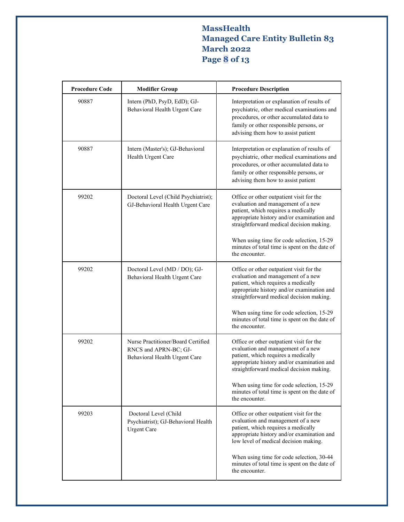# **MassHealth Managed Care Entity Bulletin 83 March 2022 Page 8 of 13**

| <b>Procedure Code</b> | <b>Modifier Group</b>                                                                        | <b>Procedure Description</b>                                                                                                                                                                                             |
|-----------------------|----------------------------------------------------------------------------------------------|--------------------------------------------------------------------------------------------------------------------------------------------------------------------------------------------------------------------------|
| 90887                 | Intern (PhD, PsyD, EdD); GJ-<br>Behavioral Health Urgent Care                                | Interpretation or explanation of results of<br>psychiatric, other medical examinations and<br>procedures, or other accumulated data to<br>family or other responsible persons, or<br>advising them how to assist patient |
| 90887                 | Intern (Master's); GJ-Behavioral<br>Health Urgent Care                                       | Interpretation or explanation of results of<br>psychiatric, other medical examinations and<br>procedures, or other accumulated data to<br>family or other responsible persons, or<br>advising them how to assist patient |
| 99202                 | Doctoral Level (Child Psychiatrist);<br>GJ-Behavioral Health Urgent Care                     | Office or other outpatient visit for the<br>evaluation and management of a new<br>patient, which requires a medically<br>appropriate history and/or examination and<br>straightforward medical decision making.          |
|                       |                                                                                              | When using time for code selection, 15-29<br>minutes of total time is spent on the date of<br>the encounter.                                                                                                             |
| 99202                 | Doctoral Level (MD / DO); GJ-<br>Behavioral Health Urgent Care                               | Office or other outpatient visit for the<br>evaluation and management of a new<br>patient, which requires a medically<br>appropriate history and/or examination and<br>straightforward medical decision making.          |
|                       |                                                                                              | When using time for code selection, 15-29<br>minutes of total time is spent on the date of<br>the encounter.                                                                                                             |
| 99202                 | Nurse Practitioner/Board Certified<br>RNCS and APRN-BC; GJ-<br>Behavioral Health Urgent Care | Office or other outpatient visit for the<br>evaluation and management of a new<br>patient, which requires a medically<br>appropriate history and/or examination and<br>straightforward medical decision making.          |
|                       |                                                                                              | When using time for code selection, 15-29<br>minutes of total time is spent on the date of<br>the encounter.                                                                                                             |
| 99203                 | Doctoral Level (Child<br>Psychiatrist); GJ-Behavioral Health<br><b>Urgent Care</b>           | Office or other outpatient visit for the<br>evaluation and management of a new<br>patient, which requires a medically<br>appropriate history and/or examination and<br>low level of medical decision making.             |
|                       |                                                                                              | When using time for code selection, 30-44<br>minutes of total time is spent on the date of<br>the encounter.                                                                                                             |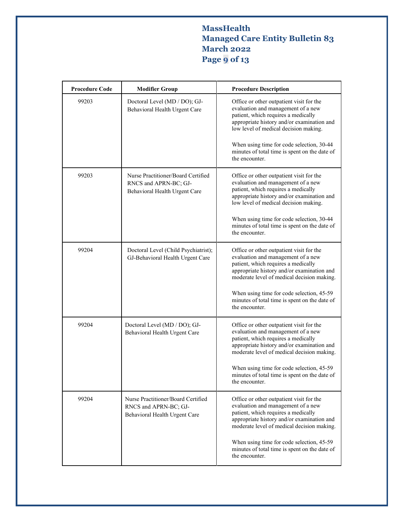# **MassHealth Managed Care Entity Bulletin 83 March 2022 Page 9 of 13**

| <b>Procedure Code</b> | <b>Modifier Group</b>                                                                        | <b>Procedure Description</b>                                                                                                                                                                                      |
|-----------------------|----------------------------------------------------------------------------------------------|-------------------------------------------------------------------------------------------------------------------------------------------------------------------------------------------------------------------|
| 99203                 | Doctoral Level (MD / DO); GJ-<br>Behavioral Health Urgent Care                               | Office or other outpatient visit for the<br>evaluation and management of a new<br>patient, which requires a medically<br>appropriate history and/or examination and<br>low level of medical decision making.      |
|                       |                                                                                              | When using time for code selection, 30-44<br>minutes of total time is spent on the date of<br>the encounter.                                                                                                      |
| 99203                 | Nurse Practitioner/Board Certified<br>RNCS and APRN-BC; GJ-<br>Behavioral Health Urgent Care | Office or other outpatient visit for the<br>evaluation and management of a new<br>patient, which requires a medically<br>appropriate history and/or examination and<br>low level of medical decision making.      |
|                       |                                                                                              | When using time for code selection, 30-44<br>minutes of total time is spent on the date of<br>the encounter.                                                                                                      |
| 99204                 | Doctoral Level (Child Psychiatrist);<br>GJ-Behavioral Health Urgent Care                     | Office or other outpatient visit for the<br>evaluation and management of a new<br>patient, which requires a medically<br>appropriate history and/or examination and<br>moderate level of medical decision making. |
|                       |                                                                                              | When using time for code selection, 45-59<br>minutes of total time is spent on the date of<br>the encounter.                                                                                                      |
| 99204                 | Doctoral Level (MD / DO); GJ-<br>Behavioral Health Urgent Care                               | Office or other outpatient visit for the<br>evaluation and management of a new<br>patient, which requires a medically<br>appropriate history and/or examination and<br>moderate level of medical decision making. |
|                       |                                                                                              | When using time for code selection, 45-59<br>minutes of total time is spent on the date of<br>the encounter.                                                                                                      |
| 99204                 | Nurse Practitioner/Board Certified<br>RNCS and APRN-BC; GJ-<br>Behavioral Health Urgent Care | Office or other outpatient visit for the<br>evaluation and management of a new<br>patient, which requires a medically<br>appropriate history and/or examination and<br>moderate level of medical decision making. |
|                       |                                                                                              | When using time for code selection, 45-59<br>minutes of total time is spent on the date of<br>the encounter.                                                                                                      |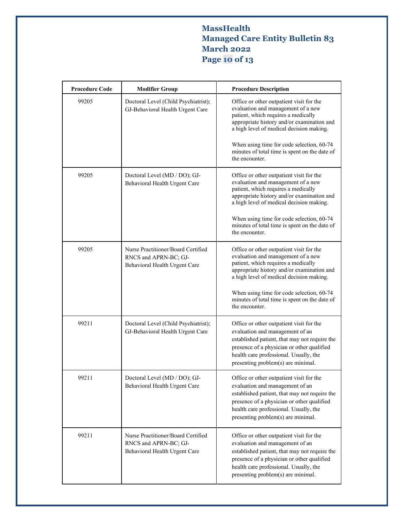# **MassHealth Managed Care Entity Bulletin 83 March 2022 Page 10 of 13**

| <b>Procedure Code</b> | <b>Modifier Group</b>                                                                        | <b>Procedure Description</b>                                                                                                                                                                                                                               |
|-----------------------|----------------------------------------------------------------------------------------------|------------------------------------------------------------------------------------------------------------------------------------------------------------------------------------------------------------------------------------------------------------|
| 99205                 | Doctoral Level (Child Psychiatrist);<br>GJ-Behavioral Health Urgent Care                     | Office or other outpatient visit for the<br>evaluation and management of a new<br>patient, which requires a medically<br>appropriate history and/or examination and<br>a high level of medical decision making.                                            |
|                       |                                                                                              | When using time for code selection, 60-74<br>minutes of total time is spent on the date of<br>the encounter.                                                                                                                                               |
| 99205                 | Doctoral Level (MD / DO); GJ-<br>Behavioral Health Urgent Care                               | Office or other outpatient visit for the<br>evaluation and management of a new<br>patient, which requires a medically<br>appropriate history and/or examination and<br>a high level of medical decision making.                                            |
|                       |                                                                                              | When using time for code selection, 60-74<br>minutes of total time is spent on the date of<br>the encounter.                                                                                                                                               |
| 99205                 | Nurse Practitioner/Board Certified<br>RNCS and APRN-BC; GJ-<br>Behavioral Health Urgent Care | Office or other outpatient visit for the<br>evaluation and management of a new<br>patient, which requires a medically<br>appropriate history and/or examination and<br>a high level of medical decision making.                                            |
|                       |                                                                                              | When using time for code selection, 60-74<br>minutes of total time is spent on the date of<br>the encounter.                                                                                                                                               |
| 99211                 | Doctoral Level (Child Psychiatrist);<br>GJ-Behavioral Health Urgent Care                     | Office or other outpatient visit for the<br>evaluation and management of an<br>established patient, that may not require the<br>presence of a physician or other qualified<br>health care professional. Usually, the<br>presenting problem(s) are minimal. |
| 99211                 | Doctoral Level (MD / DO); GJ-<br>Behavioral Health Urgent Care                               | Office or other outpatient visit for the<br>evaluation and management of an<br>established patient, that may not require the<br>presence of a physician or other qualified<br>health care professional. Usually, the<br>presenting problem(s) are minimal. |
| 99211                 | Nurse Practitioner/Board Certified<br>RNCS and APRN-BC; GJ-<br>Behavioral Health Urgent Care | Office or other outpatient visit for the<br>evaluation and management of an<br>established patient, that may not require the<br>presence of a physician or other qualified<br>health care professional. Usually, the<br>presenting problem(s) are minimal. |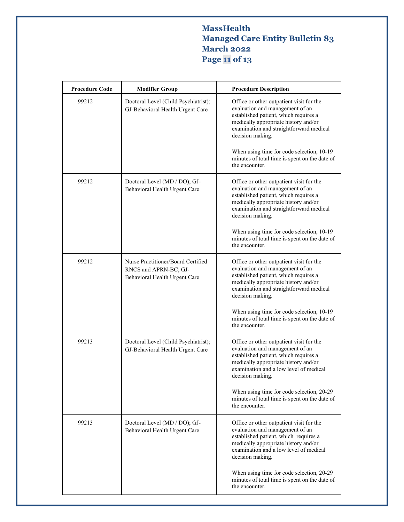# **MassHealth Managed Care Entity Bulletin 83 March 2022 Page 11 of 13**

| <b>Procedure Code</b> | <b>Modifier Group</b>                                                                        | <b>Procedure Description</b>                                                                                                                                                                                                |
|-----------------------|----------------------------------------------------------------------------------------------|-----------------------------------------------------------------------------------------------------------------------------------------------------------------------------------------------------------------------------|
| 99212                 | Doctoral Level (Child Psychiatrist);<br>GJ-Behavioral Health Urgent Care                     | Office or other outpatient visit for the<br>evaluation and management of an<br>established patient, which requires a<br>medically appropriate history and/or<br>examination and straightforward medical<br>decision making. |
|                       |                                                                                              | When using time for code selection, 10-19<br>minutes of total time is spent on the date of<br>the encounter.                                                                                                                |
| 99212                 | Doctoral Level (MD / DO); GJ-<br>Behavioral Health Urgent Care                               | Office or other outpatient visit for the<br>evaluation and management of an<br>established patient, which requires a<br>medically appropriate history and/or<br>examination and straightforward medical<br>decision making. |
|                       |                                                                                              | When using time for code selection, 10-19<br>minutes of total time is spent on the date of<br>the encounter.                                                                                                                |
| 99212                 | Nurse Practitioner/Board Certified<br>RNCS and APRN-BC; GJ-<br>Behavioral Health Urgent Care | Office or other outpatient visit for the<br>evaluation and management of an<br>established patient, which requires a<br>medically appropriate history and/or<br>examination and straightforward medical<br>decision making. |
|                       |                                                                                              | When using time for code selection, 10-19<br>minutes of total time is spent on the date of<br>the encounter.                                                                                                                |
| 99213                 | Doctoral Level (Child Psychiatrist);<br>GJ-Behavioral Health Urgent Care                     | Office or other outpatient visit for the<br>evaluation and management of an<br>established patient, which requires a<br>medically appropriate history and/or<br>examination and a low level of medical<br>decision making.  |
|                       |                                                                                              | When using time for code selection, 20-29<br>minutes of total time is spent on the date of<br>the encounter.                                                                                                                |
| 99213                 | Doctoral Level (MD / DO); GJ-<br>Behavioral Health Urgent Care                               | Office or other outpatient visit for the<br>evaluation and management of an<br>established patient, which requires a<br>medically appropriate history and/or<br>examination and a low level of medical<br>decision making.  |
|                       |                                                                                              | When using time for code selection, 20-29<br>minutes of total time is spent on the date of<br>the encounter.                                                                                                                |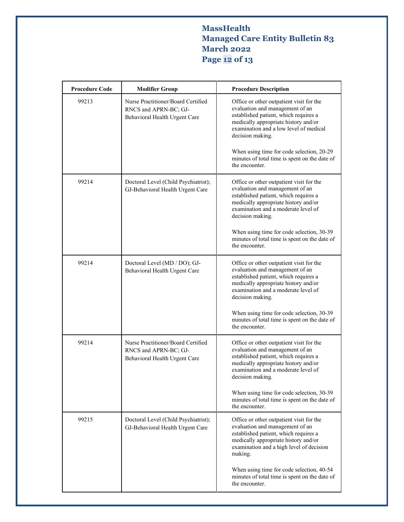# **MassHealth Managed Care Entity Bulletin 83 March 2022 Page 12 of 13**

| <b>Procedure Code</b> | <b>Modifier Group</b>                                                                        | <b>Procedure Description</b>                                                                                                                                                                                               |
|-----------------------|----------------------------------------------------------------------------------------------|----------------------------------------------------------------------------------------------------------------------------------------------------------------------------------------------------------------------------|
| 99213                 | Nurse Practitioner/Board Certified<br>RNCS and APRN-BC; GJ-<br>Behavioral Health Urgent Care | Office or other outpatient visit for the<br>evaluation and management of an<br>established patient, which requires a<br>medically appropriate history and/or<br>examination and a low level of medical<br>decision making. |
|                       |                                                                                              | When using time for code selection, 20-29<br>minutes of total time is spent on the date of<br>the encounter.                                                                                                               |
| 99214                 | Doctoral Level (Child Psychiatrist);<br>GJ-Behavioral Health Urgent Care                     | Office or other outpatient visit for the<br>evaluation and management of an<br>established patient, which requires a<br>medically appropriate history and/or<br>examination and a moderate level of<br>decision making.    |
|                       |                                                                                              | When using time for code selection, 30-39<br>minutes of total time is spent on the date of<br>the encounter.                                                                                                               |
| 99214                 | Doctoral Level (MD / DO); GJ-<br>Behavioral Health Urgent Care                               | Office or other outpatient visit for the<br>evaluation and management of an<br>established patient, which requires a<br>medically appropriate history and/or<br>examination and a moderate level of<br>decision making.    |
|                       |                                                                                              | When using time for code selection, 30-39<br>minutes of total time is spent on the date of<br>the encounter.                                                                                                               |
| 99214                 | Nurse Practitioner/Board Certified<br>RNCS and APRN-BC; GJ-<br>Behavioral Health Urgent Care | Office or other outpatient visit for the<br>evaluation and management of an<br>established patient, which requires a<br>medically appropriate history and/or<br>examination and a moderate level of<br>decision making.    |
|                       |                                                                                              | When using time for code selection, 30-39<br>minutes of total time is spent on the date of<br>the encounter.                                                                                                               |
| 99215                 | Doctoral Level (Child Psychiatrist);<br>GJ-Behavioral Health Urgent Care                     | Office or other outpatient visit for the<br>evaluation and management of an<br>established patient, which requires a<br>medically appropriate history and/or<br>examination and a high level of decision<br>making.        |
|                       |                                                                                              | When using time for code selection, 40-54<br>minutes of total time is spent on the date of<br>the encounter.                                                                                                               |